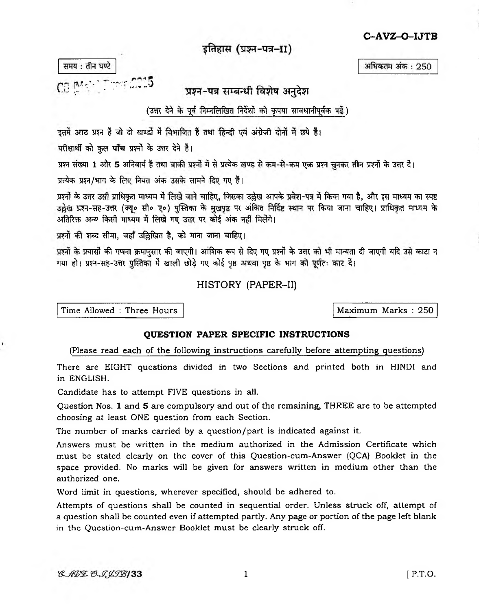C-AVZ-O-IJTB

अधिकतम अंक: 250

इतिहास (प्रश्न-पत्र-II)

समय: तीन घण्टे

CB (Mark) Three CO15

प्रश्न-पत्र सम्बन्धी विशेष अनुदेश

(उत्तर देने के पूर्व निम्नलिखित निर्देशों को कृपया सावधानीपूर्वक पढ़ें)

इसमें आठ प्रश्न हैं जो दो खण्डों में विभाजित हैं तथा हिन्दी एवं अंग्रेजी दोनों में छपे हैं।

परीक्षार्थी को कुल पाँच प्रश्नों के उत्तर देने हैं।

प्रश्न संख्या 1 और 5 अनिवार्य हैं तथा बाकी प्रश्नों में से प्रत्येक खण्ड से कम-से-कम एक प्रश्न चुनकर तीन प्रश्नों के उत्तर दें।

प्रत्येक प्रश्न/भाग के लिए नियत अंक उसके सामने दिए गए हैं।

प्रश्नों के उत्तर उसी प्राधिकृत माध्यम में लिखे जाने चाहिए, जिसका उल्लेख आपके प्रवेश-पत्र में किया गया है, और इस माध्यम का स्पष्ट उल्लेख प्रश्न-सह-उत्तर (क्यू० सी० ए०) पुस्तिका के मुखपृष्ठ पर अंकित निर्दिष्ट स्थान पर किया जाना चाहिए। प्राधिकृत माध्यम के अतिरिक्त अन्य किसी माध्यम में लिखे गए उत्तर पर कोई अंक नहीं मिलेंगे।

प्रश्नों की शब्द सीमा, जहाँ उल्लिखित है, को माना जाना चाहिए।

प्रश्नों के प्रयासों की गणना क्रमानुसार की जाएगी। आंशिक रूप से दिए गए प्रश्नों के उत्तर को भी मान्यता दी जाएगी यदि उसे काटा न गया हो। प्रश्न-सह-उत्तर पुस्तिका में खाली छोड़े गए कोई पृष्ठ अथवा पृष्ठ के भाग को पूर्णतः काट दें।

## HISTORY (PAPER-II)

Time Allowed: Three Hours

Maximum Marks: 250

## **OUESTION PAPER SPECIFIC INSTRUCTIONS**

## (Please read each of the following instructions carefully before attempting questions)

There are EIGHT questions divided in two Sections and printed both in HINDI and in ENGLISH.

Candidate has to attempt FIVE questions in all.

Question Nos. 1 and 5 are compulsory and out of the remaining, THREE are to be attempted choosing at least ONE question from each Section.

The number of marks carried by a question/part is indicated against it.

Answers must be written in the medium authorized in the Admission Certificate which must be stated clearly on the cover of this Question-cum-Answer (QCA) Booklet in the space provided. No marks will be given for answers written in medium other than the authorized one.

Word limit in questions, wherever specified, should be adhered to.

Attempts of questions shall be counted in sequential order. Unless struck off, attempt of a question shall be counted even if attempted partly. Any page or portion of the page left blank in the Question-cum-Answer Booklet must be clearly struck off.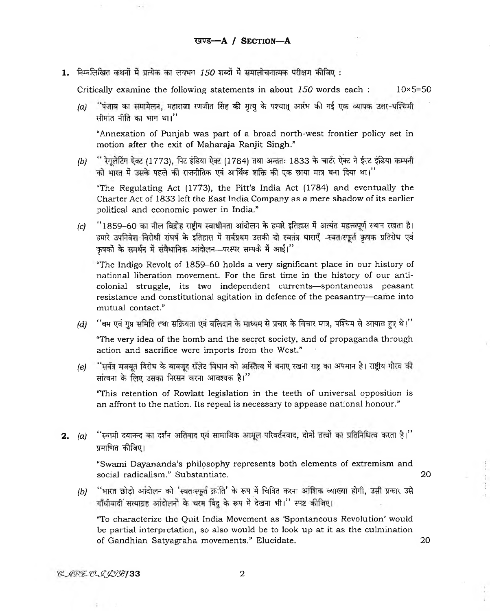1. निम्नलिखित कथनों में प्रत्येक का लगभग 150 शब्दों में समालोचनात्मक परीक्षण कीजिए :

**Critically examine the following statements in about** *150* **words each : 10x5=50**

*(a)* 'पंजाब का समामेलन, महाराजा रणजीत सिंह की मृत्यु के पश्चात् आरंभ की गई एक व्यापक उत्तर-पश्चिमी **^ M cT ^frfcl ^1 \*TRT «ni"**

**"Annexation of Punjab was part of a broad north-west frontier policy set in motion after the exit of Maharaja Ranjit Singh."**

*(b)* " रेगुलेटिंग ऐक्ट (1773), पिट इंडिया ऐक्ट (1784) तथा अन्ततः 1833 के चार्टर ऐक्ट ने ईस्ट इंडिया कम्पनी  $\vec{a}$  भारत में उसके पहले की राजनीतिक एवं आर्थिक शक्ति की एक छाया मात्र बना दिया था।''

**"The Regulating Act (1773), the Pitt's India Act (1784) and eventually the Charter Act of 1833 left the East India Company as a mere shadow of its earlier political and economic power in India."**

*(c)* "1859–60 का नील विद्रोह राष्ट्रीय स्वाधीनता आंदोलन के हमारे इतिहास में अत्यंत महत्त्वपूर्ण स्थान रखता है। 'हमारे उपनिवेश-विरोधी संघर्ष के इतिहास में सर्वप्रथम उसकी दो स्वतंत्र धाराए<del>ँ स्</del>वतःस्फूर्त कृषक प्रतिरोध एवं  $\frac{1}{2}$  कुषकों के समर्थन में संवैधानिक आंदोलन-परस्पर सम्पर्क में आईं।''

**The Indigo Revolt of 1859-60 holds a very significant place in our history of national liberation movement. For the first time in the history of our anticolonial struggle, its two independent currents— spontaneous peasant resistance and constitutional agitation in defence of the peasantry— came into mutual contact."**

*(d)* ''बम एवं गुप्त समिति तथा सक्रियता एवं बलिदान के माध्यम से प्रचार के विचार मात्र, पश्चिम से आयात हुए थे।''

**"The very idea of the bomb and the secret society, and of propaganda through action and sacrifice were imports from the West."**

*(e)* "सर्वत्र मजबूत विरोध के बावजूद रॉलेट विधान को अस्तित्व में बनाए रखना राष्ट्र का अपमान है। राष्ट्रीय गौरव की सांत्वना के लिए उसका निरसन करना आवश्यक है।''

**"This retention of Rowlatt legislation in the teeth of universal opposition is an affront to the nation. Its repeal is necessary to appease national honour."**

2. *(a)* ''स्वामी दयानन्द का दर्शन अतिवाद एवं सामाजिक आमूल परिवर्तनवाद, दोनों तत्त्वों का प्रतिनिधित्व करता है।'' प्रमाणित कीजिए।

> **"Swami Dayananda's philosophy represents both elements of extremism and social radicalism." Substantiate. 20**

*(b)* "भारत छोड़ो आंदोलन को 'स्वतःस्फूर्त क्रांति' के रूप में चित्रित करना आंशिक व्याख्या होगी, उसी प्रकार उसे गाँधीवादी सत्याग्रह आंदोलनों के चरम बिंदु के रूप में देखना भी।" स्पष्ट कीजिए।

**"To characterize the Quit India Movement as 'Spontaneous Revolution' would be partial interpretation, so also would be to look up at it as the culmination of Gandhian Satyagraha movements." Elucidate. 20**

 $\ddot{h}$ 

 $\frac{11}{41}$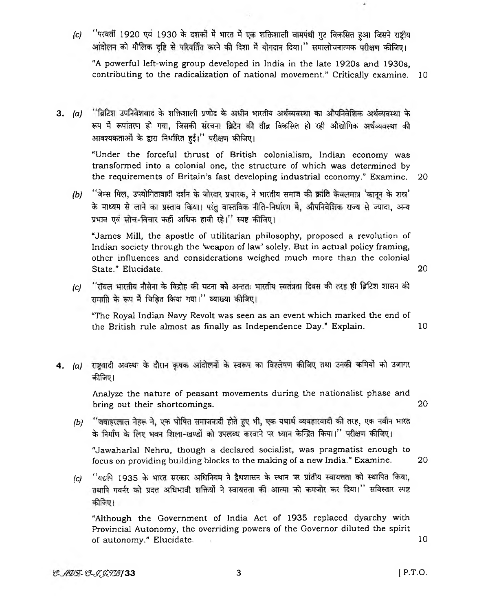*(C)* **" T O c ff 1920 ^ 1930 % 3 HRcl 3 JilRhJtllefl** 3**Z f e j f t r a J3T1 1 ^ TT^fa** आंदोलन को मौलिक दष्टि से परिवर्तित करने की दिशा में योगदान दिया।'' समालोचनात्मक परीक्षण कीजिए।

**"A powerful left-wing group developed in India in the late 1920s and 1930s, contributing to the radicalization of national movement." Critically examine. 10**

3. (a) <sup>"</sup>ब्रिटिश उपनिवेशवाद के शक्तिशाली प्रणोद के अधीन भारतीय अर्थव्यवस्था का औपनिवेशिक अर्थव्यवस्था के रूप में रूपांतरण हो गया, जिसकी संरचना ब्रिटेन की तीव्र विकसित हो रही औद्योगिक अर्थव्यवस्था की आवश्यकताओं के द्वारा निर्धारित हई।" परीक्षण कीजिए।

> **"Under the forceful thrust of British colonialism, Indian economy was transformed into a colonial one, the structure of which was determined by the requirements of Britain's fast developing industrial economy." Examine. 20**

*(b)* ''जेम्स मिल, उपयोगितावादी दर्शन के जोरदार प्रचारक, ने भारतीय समाज की क्रांति केवलमात्र 'कानून के शस्त्र' के माध्यम से लाने का प्रस्ताव किया। परंतु वास्तविक नीति-निर्धारण में, औपनिवेशिक राज्य से ज्यादा, अन्य **31** *'m ^* **^ 3 # ^ ^Jcft ^ TO**

**"James Mill, the apostle of utilitarian philosophy, proposed a revolution of** Indian society through the 'weapon of law' solely. But in actual policy framing, **other influences and considerations weighed much more than the colonial State." Elucidate. 20**

*(c)* **% ftsrT?** *w^\* **^** *-\$[* **^ Isrf^i** *ww\* **^** समाप्ति के रूप में चिहित किया गया।" व्याख्या कीजिए।

**"The Royal Indian Navy Revolt was seen as an event which marked the end of the British rule almost as finally as Independence Day." Explain. 10**

4. (a) राष्ट्रवादी अवस्था के दौरान कृषक आंदोलनों के स्वरूप का विश्लेषण कीजिए तथा उनकी कमियों को उजागर **^ t f^ !**

> **Analyze the nature of peasant movements during the nationalist phase and bring out their shortcomings.** 20

*(b)* ''जवाहरलाल नेहरू ने, एक घोषित समाजवादी होते हुए भी, एक यथार्थ व्यवहारवादी की तरह, एक नवीन भारत के निर्माण के लिए भवन शिला-खण्डों को उपलब्ध करवाने पर ध्यान केन्द्रित किया।'' परीक्षण कीजिए।

**"Jawaharlal Nehru, though a declared socialist, was pragmatist enough to focus on providing building blocks to the making of a new India." Examine. 20**

*(c)* "यद्यपि 1935 के भारत सरकार अधिनियम ने द्वैधशासन के स्थान पर प्रांतीय स्वायत्तता को स्थापित किया, तथापि गवर्नर को प्रदत्त अधिभावी शक्तियों ने स्वायत्तता की आत्मा को कमजोर कर दिया।'' सविस्तार स्पष्ट कीजिए।

**"Although the Government of India Act of 1935 replaced dyarchy with Provincial Autonomy, the overriding powers of the Governor diluted the spirit of autonomy." Elucidate.** 10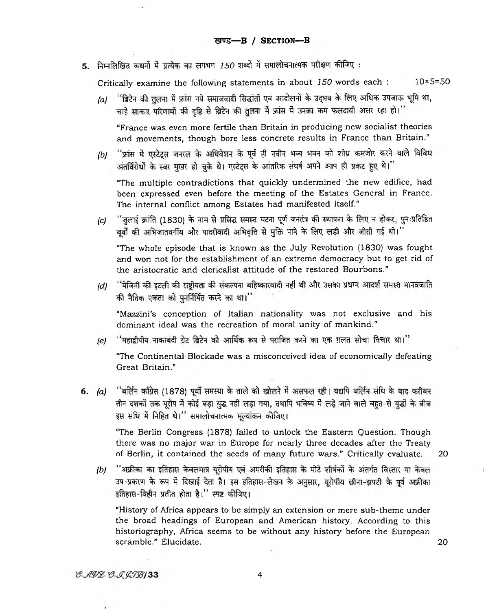5. निम्नलिखित कथनों में प्रत्येक का लगभग 150 शब्दों में समालोचनात्मक परीक्षण कीजिए :

Critically examine the following statements in about 150 words each : 10×5=50

*(a)* "ब्रिटेन की तुलना में फ्रांस नये समाजवादी सिद्धांतों एवं आंदोलनों के उद्भव के लिए अधिक उपजाऊ भूमि था, चाहे साकार परिणामों की दृष्टि से ब्रिटेन की तुलना में फ्रांस में उनका कम फलदायी असर रहा हो।''

**"France was even more fertile than Britain in producing new socialist theories and movements, though bore less concrete results in France than Britain."**

*(b)* "फ्रांस में एस्टेट्स जनरल के अधिवेशन के पूर्व ही नवीन भव्य भवन को शीघ्र कमजोर करने वाले विविध अंतर्विरोधों के स्वर मुखर हो चुके थे। एस्टेट्स के आंतरिक संघर्ष अपने आप ही प्रकट हुए थे।"

**"The multiple contradictions that quickly undermined the new edifice, had been expressed even before the meeting of the Estates General in France. The internal conflict among Estates had manifested itself."**

*(c)* "जुलाई क्रांति (1830) के नाम से प्रसिद्ध समस्त घटना पूर्ण जनतंत्र की स्थापना के लिए न होकर, पुनःप्रतिष्ठित " बूबों की अभिजातवर्गीय और पादरीवादी अभिवृत्ति से मुक्ति पाने के लिए लड़ी और जीती गई थी।

**"The whole episode that is known as the July Revolution (1830) was fought and won not for the establishment of an extreme democracy but to get rid of the aristocratic and clericalist attitude of the restored Bourbons."**

*(d)* "मेजिनी की इटली की राष्ट्रीयता की संकल्पना बहिष्कारवादी नहीं थी और उसका प्रधान आदर्श समस्त मानवजाति की नैतिक एकता को पुनर्निर्मित करने का था।''

**"Mazzini's conception of Italian nationality was not exclusive and his dominant ideal was the recreation of moral unity of mankind."**

*(e)* ''महाद्वीपीय नाकाबंदी ग्रेट ब्रिटेन को आर्थिक रूप से पराजित करने का एक ग़लत सोचा विचार था।''

**"The Continental Blockade was a misconceived idea of economically defeating Great Britain."**

6. (a) "बर्लिन काँग्रेस (1878) पूर्वी समस्या के ताले को खोलने में असफल रही। यद्यपि बर्लिन संधि के बाद करीबन तीन दशकों तक यूरोप में कोई बड़ा युद्ध नहीं लड़ा गया, तथापि भविष्य में लड़े जाने वाले बहत-से युद्धों के बीज इस संधि में निहित थे।" समालोचनात्मक मूल्यांकन कीजिए।

**"The Berlin Congress (1878) failed to unlock the Eastern Question. Though there was no major war in Europe for nearly three decades after the Treaty of Berlin, it contained the seeds of many future wars." Critically evaluate. 20**

- 
- *(b)* ''अफ्रीका का इतिहास केवलमात्र यूरोपीय एवं अमरीकी इतिहास के मोटे शीर्षकों के अंतर्गत विस्तार या केवल उप-प्रकरण के रूप में दिखाई देता है। इस इतिहास-लेखन के अनुसार, यूरोपीय छीना-झपटी के पूर्व अफ्रीका इतिहास-विहीन प्रतीत होता है।'' स्पष्ट कीजिए।

**"History of Africa appears to be simply an extension or mere sub-theme under the broad headings of European and American history. According to this historiography, Africa seems to be without any history before the European scramble." Elucidate. 20**